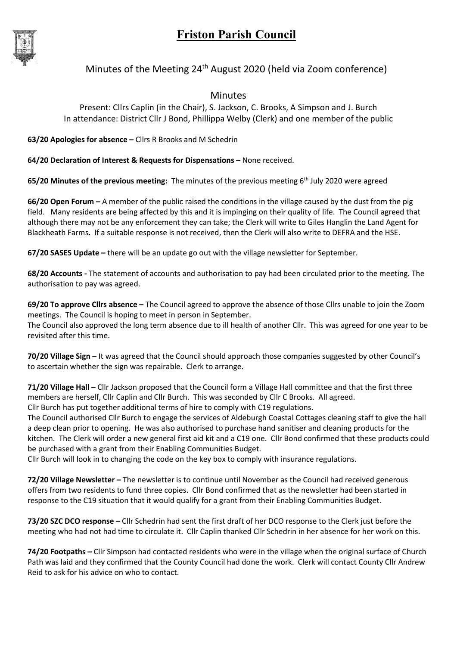## Friston Parish Council



## Minutes of the Meeting  $24<sup>th</sup>$  August 2020 (held via Zoom conference)

## Minutes

Present: Cllrs Caplin (in the Chair), S. Jackson, C. Brooks, A Simpson and J. Burch In attendance: District Cllr J Bond, Phillippa Welby (Clerk) and one member of the public

63/20 Apologies for absence – Cllrs R Brooks and M Schedrin

64/20 Declaration of Interest & Requests for Dispensations – None received.

65/20 Minutes of the previous meeting: The minutes of the previous meeting  $6<sup>th</sup>$  July 2020 were agreed

66/20 Open Forum – A member of the public raised the conditions in the village caused by the dust from the pig field. Many residents are being affected by this and it is impinging on their quality of life. The Council agreed that although there may not be any enforcement they can take; the Clerk will write to Giles Hanglin the Land Agent for Blackheath Farms. If a suitable response is not received, then the Clerk will also write to DEFRA and the HSE.

67/20 SASES Update – there will be an update go out with the village newsletter for September.

68/20 Accounts - The statement of accounts and authorisation to pay had been circulated prior to the meeting. The authorisation to pay was agreed.

69/20 To approve Cllrs absence – The Council agreed to approve the absence of those Cllrs unable to join the Zoom meetings. The Council is hoping to meet in person in September.

The Council also approved the long term absence due to ill health of another Cllr. This was agreed for one year to be revisited after this time.

70/20 Village Sign - It was agreed that the Council should approach those companies suggested by other Council's to ascertain whether the sign was repairable. Clerk to arrange.

71/20 Village Hall – Cllr Jackson proposed that the Council form a Village Hall committee and that the first three members are herself, Cllr Caplin and Cllr Burch. This was seconded by Cllr C Brooks. All agreed.

Cllr Burch has put together additional terms of hire to comply with C19 regulations.

The Council authorised Cllr Burch to engage the services of Aldeburgh Coastal Cottages cleaning staff to give the hall a deep clean prior to opening. He was also authorised to purchase hand sanitiser and cleaning products for the kitchen. The Clerk will order a new general first aid kit and a C19 one. Cllr Bond confirmed that these products could be purchased with a grant from their Enabling Communities Budget.

Cllr Burch will look in to changing the code on the key box to comply with insurance regulations.

72/20 Village Newsletter – The newsletter is to continue until November as the Council had received generous offers from two residents to fund three copies. Cllr Bond confirmed that as the newsletter had been started in response to the C19 situation that it would qualify for a grant from their Enabling Communities Budget.

73/20 SZC DCO response – Cllr Schedrin had sent the first draft of her DCO response to the Clerk just before the meeting who had not had time to circulate it. Cllr Caplin thanked Cllr Schedrin in her absence for her work on this.

74/20 Footpaths – Cllr Simpson had contacted residents who were in the village when the original surface of Church Path was laid and they confirmed that the County Council had done the work. Clerk will contact County Cllr Andrew Reid to ask for his advice on who to contact.